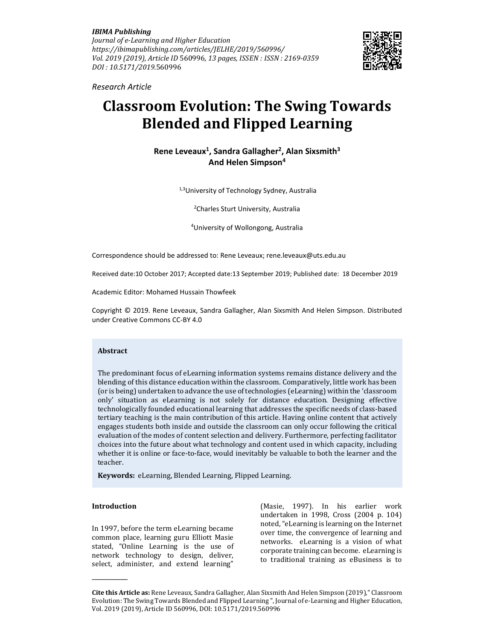*IBIMA Publishing Journal of e-Learning and Higher Education https://ibimapublishing.com/articles/JELHE/2019/560996/ Vol. 2019 (2019), Article ID* 560996*, 13 pages, ISSEN : ISSN : 2169-0359 DOI : 10.5171/2019.*560996



*Research Article* 

# **Classroom Evolution: The Swing Towards Blended and Flipped Learning**

## **Rene Leveaux<sup>1</sup> , Sandra Gallagher<sup>2</sup> , Alan Sixsmith<sup>3</sup> And Helen Simpson<sup>4</sup>**

1,3University of Technology Sydney, Australia

<sup>2</sup>Charles Sturt University, Australia

<sup>4</sup>University of Wollongong, Australia

Correspondence should be addressed to: Rene Leveaux; rene.leveaux@uts.edu.au

Received date:10 October 2017; Accepted date:13 September 2019; Published date: 18 December 2019

Academic Editor: Mohamed Hussain Thowfeek

Copyright © 2019. Rene Leveaux, Sandra Gallagher, Alan Sixsmith And Helen Simpson. Distributed under Creative Commons CC-BY 4.0

## **Abstract**

The predominant focus of eLearning information systems remains distance delivery and the blending of this distance education within the classroom. Comparatively, little work has been (or is being) undertaken to advance the use of technologies (eLearning) within the 'classroom only' situation as eLearning is not solely for distance education. Designing effective technologically founded educational learning that addresses the specific needs of class-based tertiary teaching is the main contribution of this article. Having online content that actively engages students both inside and outside the classroom can only occur following the critical evaluation of the modes of content selection and delivery. Furthermore, perfecting facilitator choices into the future about what technology and content used in which capacity, including whether it is online or face-to-face, would inevitably be valuable to both the learner and the teacher.

**Keywords:** eLearning, Blended Learning, Flipped Learning.

#### **Introduction**

**\_\_\_\_\_\_\_\_\_\_\_\_\_\_** 

In 1997, before the term eLearning became common place, learning guru Elliott Masie stated, "Online Learning is the use of network technology to design, deliver, select, administer, and extend learning"

(Masie, 1997). In his earlier work undertaken in 1998, Cross (2004 p. 104) noted, "eLearning is learning on the Internet over time, the convergence of learning and networks. eLearning is a vision of what corporate training can become. eLearning is to traditional training as eBusiness is to

**Cite this Article as:** Rene Leveaux, Sandra Gallagher, Alan Sixsmith And Helen Simpson (2019)," Classroom Evolution: The Swing Towards Blended and Flipped Learning ", Journal of e-Learning and Higher Education, Vol. 2019 (2019), Article ID 560996, DOI: 10.5171/2019.560996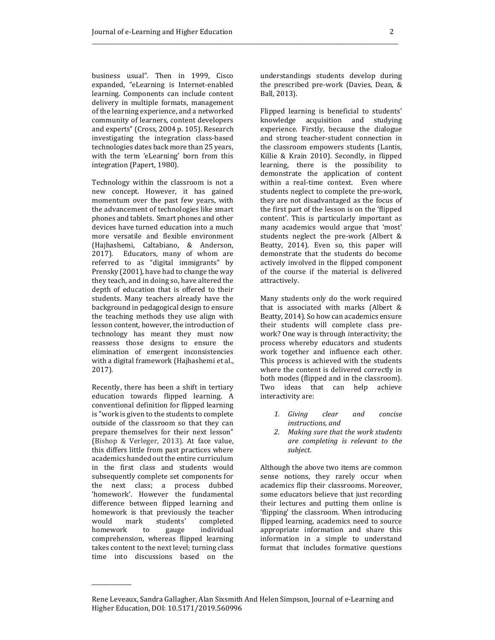business usual". Then in 1999, Cisco expanded, "eLearning is Internet-enabled learning. Components can include content delivery in multiple formats, management of the learning experience, and a networked community of learners, content developers and experts" (Cross, 2004 p. 105). Research investigating the integration class-based technologies dates back more than 25 years, with the term 'eLearning' born from this integration (Papert, 1980).

Technology within the classroom is not a new concept. However, it has gained momentum over the past few years, with the advancement of technologies like smart phones and tablets. Smart phones and other devices have turned education into a much more versatile and flexible environment (Hajhashemi, Caltabiano, & Anderson, 2017). Educators, many of whom are referred to as "digital immigrants" by Prensky (2001), have had to change the way they teach, and in doing so, have altered the depth of education that is offered to their students. Many teachers already have the background in pedagogical design to ensure the teaching methods they use align with lesson content, however, the introduction of technology has meant they must now reassess those designs to ensure the elimination of emergent inconsistencies with a digital framework (Hajhashemi et al., 2017).

Recently, there has been a shift in tertiary education towards flipped learning. A conventional definition for flipped learning is "work is given to the students to complete outside of the classroom so that they can prepare themselves for their next lesson" (Bishop & Verleger, 2013). At face value, this differs little from past practices where academics handed out the entire curriculum in the first class and students would subsequently complete set components for the next class; a process dubbed 'homework'. However the fundamental difference between flipped learning and homework is that previously the teacher would mark students' completed homework to gauge individual comprehension, whereas flipped learning takes content to the next level; turning class time into discussions based on the

\_\_\_\_\_\_\_\_\_\_\_\_\_\_

understandings students develop during the prescribed pre-work (Davies, Dean, & Ball, 2013).

Flipped learning is beneficial to students' knowledge acquisition and studying experience. Firstly, because the dialogue and strong teacher-student connection in the classroom empowers students (Lantis, Killie & Krain 2010). Secondly, in flipped learning, there is the possibility to demonstrate the application of content within a real-time context. Even where students neglect to complete the pre-work, they are not disadvantaged as the focus of the first part of the lesson is on the 'flipped content'. This is particularly important as many academics would argue that 'most' students neglect the pre-work (Albert & Beatty, 2014). Even so, this paper will demonstrate that the students do become actively involved in the flipped component of the course if the material is delivered attractively.

Many students only do the work required that is associated with marks (Albert & Beatty, 2014). So how can academics ensure their students will complete class prework? One way is through interactivity; the process whereby educators and students work together and influence each other. This process is achieved with the students where the content is delivered correctly in both modes (flipped and in the classroom). Two ideas that can help achieve interactivity are:

- *1. Giving clear and concise instructions, and*
- *2. Making sure that the work students are completing is relevant to the subject.*

Although the above two items are common sense notions, they rarely occur when academics flip their classrooms. Moreover, some educators believe that just recording their lectures and putting them online is 'flipping' the classroom. When introducing flipped learning, academics need to source appropriate information and share this information in a simple to understand format that includes formative questions

Rene Leveaux, Sandra Gallagher, Alan Sixsmith And Helen Simpson, Journal of e-Learning and Higher Education, DOI: 10.5171/2019.560996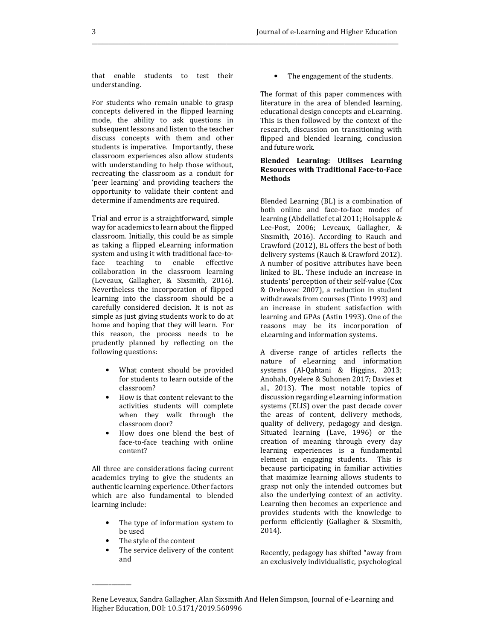that enable students to test their understanding.

For students who remain unable to grasp concepts delivered in the flipped learning mode, the ability to ask questions in subsequent lessons and listen to the teacher discuss concepts with them and other students is imperative. Importantly, these classroom experiences also allow students with understanding to help those without, recreating the classroom as a conduit for 'peer learning' and providing teachers the opportunity to validate their content and determine if amendments are required.

Trial and error is a straightforward, simple way for academics to learn about the flipped classroom. Initially, this could be as simple as taking a flipped eLearning information system and using it with traditional face-toface teaching to enable effective collaboration in the classroom learning (Leveaux, Gallagher, & Sixsmith, 2016). Nevertheless the incorporation of flipped learning into the classroom should be a carefully considered decision. It is not as simple as just giving students work to do at home and hoping that they will learn. For this reason, the process needs to be prudently planned by reflecting on the following questions:

- What content should be provided for students to learn outside of the classroom?
- How is that content relevant to the activities students will complete when they walk through the classroom door?
- How does one blend the best of face-to-face teaching with online content?

All three are considerations facing current academics trying to give the students an authentic learning experience. Other factors which are also fundamental to blended learning include:

- The type of information system to be used
- The style of the content

\_\_\_\_\_\_\_\_\_\_\_\_\_\_

The service delivery of the content and

The engagement of the students.

The format of this paper commences with literature in the area of blended learning, educational design concepts and eLearning. This is then followed by the context of the research, discussion on transitioning with flipped and blended learning, conclusion and future work.

## **Blended Learning: Utilises Learning Resources with Traditional Face-to-Face Methods**

Blended Learning (BL) is a combination of both online and face-to-face modes of learning (Abdellatief et al 2011; Holsapple & Lee-Post, 2006; Leveaux, Gallagher, & Sixsmith, 2016). According to Rauch and Crawford (2012), BL offers the best of both delivery systems (Rauch & Crawford 2012). A number of positive attributes have been linked to BL. These include an increase in students' perception of their self-value (Cox & Orehovec 2007), a reduction in student withdrawals from courses (Tinto 1993) and an increase in student satisfaction with learning and GPAs (Astin 1993). One of the reasons may be its incorporation of eLearning and information systems.

A diverse range of articles reflects the nature of eLearning and information systems (Al-Qahtani & Higgins, 2013; Anohah, Oyelere & Suhonen 2017; Davies et al., 2013). The most notable topics of discussion regarding eLearning information systems (ELIS) over the past decade cover the areas of content, delivery methods, quality of delivery, pedagogy and design. Situated learning (Lave, 1996) or the creation of meaning through every day learning experiences is a fundamental element in engaging students. This is because participating in familiar activities that maximize learning allows students to grasp not only the intended outcomes but also the underlying context of an activity. Learning then becomes an experience and provides students with the knowledge to perform efficiently (Gallagher & Sixsmith, 2014).

Recently, pedagogy has shifted "away from an exclusively individualistic, psychological

Rene Leveaux, Sandra Gallagher, Alan Sixsmith And Helen Simpson, Journal of e-Learning and Higher Education, DOI: 10.5171/2019.560996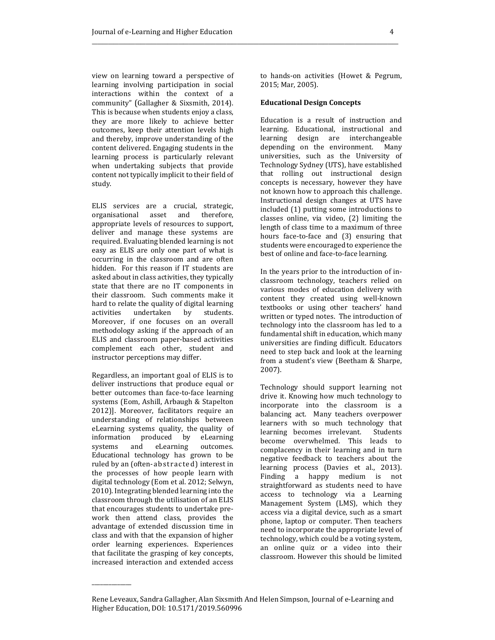view on learning toward a perspective of learning involving participation in social interactions within the context of a community" (Gallagher & Sixsmith, 2014). This is because when students enjoy a class, they are more likely to achieve better outcomes, keep their attention levels high and thereby, improve understanding of the content delivered. Engaging students in the learning process is particularly relevant when undertaking subjects that provide content not typically implicit to their field of study.

ELIS services are a crucial, strategic, organisational asset and therefore, appropriate levels of resources to support, deliver and manage these systems are required. Evaluating blended learning is not easy as ELIS are only one part of what is occurring in the classroom and are often hidden. For this reason if IT students are asked about in class activities, they typically state that there are no IT components in their classroom. Such comments make it hard to relate the quality of digital learning activities undertaken by students. Moreover, if one focuses on an overall methodology asking if the approach of an ELIS and classroom paper-based activities complement each other, student and instructor perceptions may differ.

Regardless, an important goal of ELIS is to deliver instructions that produce equal or better outcomes than face-to-face learning systems (Eom, Ashill, Arbaugh & Stapelton 2012)]. Moreover, facilitators require an understanding of relationships between eLearning systems quality, the quality of information produced by eLearning systems and eLearning outcomes. Educational technology has grown to be ruled by an (often-abstracted) interest in the processes of how people learn with digital technology (Eom et al. 2012; Selwyn, 2010). Integrating blended learning into the classroom through the utilisation of an ELIS that encourages students to undertake prework then attend class, provides the advantage of extended discussion time in class and with that the expansion of higher order learning experiences. Experiences that facilitate the grasping of key concepts, increased interaction and extended access

\_\_\_\_\_\_\_\_\_\_\_\_\_\_

to hands-on activities (Howet & Pegrum, 2015; Mar, 2005).

#### **Educational Design Concepts**

\_\_\_\_\_\_\_\_\_\_\_\_\_\_\_\_\_\_\_\_\_\_\_\_\_\_\_\_\_\_\_\_\_\_\_\_\_\_\_\_\_\_\_\_\_\_\_\_\_\_\_\_\_\_\_\_\_

Education is a result of instruction and learning. Educational, instructional and learning design are interchangeable depending on the environment. Many universities, such as the University of Technology Sydney (UTS), have established that rolling out instructional design concepts is necessary, however they have not known how to approach this challenge. Instructional design changes at UTS have included (1) putting some introductions to classes online, via video, (2) limiting the length of class time to a maximum of three hours face-to-face and (3) ensuring that students were encouraged to experience the best of online and face-to-face learning.

In the years prior to the introduction of inclassroom technology, teachers relied on various modes of education delivery with content they created using well-known textbooks or using other teachers' hand written or typed notes. The introduction of technology into the classroom has led to a fundamental shift in education, which many universities are finding difficult. Educators need to step back and look at the learning from a student's view (Beetham & Sharpe, 2007).

Technology should support learning not drive it. Knowing how much technology to incorporate into the classroom is a balancing act. Many teachers overpower learners with so much technology that learning becomes irrelevant. Students become overwhelmed. This leads to complacency in their learning and in turn negative feedback to teachers about the learning process (Davies et al., 2013). Finding a happy medium is not straightforward as students need to have access to technology via a Learning Management System (LMS), which they access via a digital device, such as a smart phone, laptop or computer. Then teachers need to incorporate the appropriate level of technology, which could be a voting system, an online quiz or a video into their classroom. However this should be limited

Rene Leveaux, Sandra Gallagher, Alan Sixsmith And Helen Simpson, Journal of e-Learning and Higher Education, DOI: 10.5171/2019.560996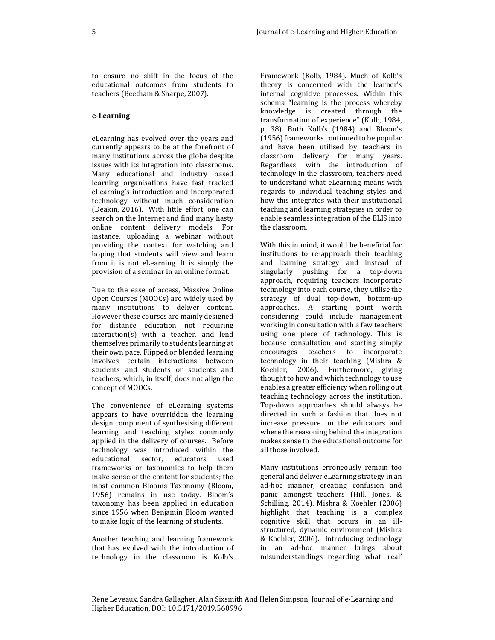to ensure no shift in the focus of the educational outcomes from students to teachers (Beetham & Sharpe, 2007).

## **e-Learning**

eLearning has evolved over the years and currently appears to be at the forefront of many institutions across the globe despite issues with its integration into classrooms. Many educational and industry based learning organisations have fast tracked eLearning's introduction and incorporated technology without much consideration (Deakin, 2016). With little effort, one can search on the Internet and find many hasty online content delivery models. For instance, uploading a webinar without providing the context for watching and hoping that students will view and learn from it is not eLearning. It is simply the provision of a seminar in an online format.

Due to the ease of access, Massive Online Open Courses (MOOCs) are widely used by many institutions to deliver content. However these courses are mainly designed for distance education not requiring interaction(s) with a teacher, and lend themselves primarily to students learning at their own pace. Flipped or blended learning involves certain interactions between students and students or students and teachers, which, in itself, does not align the concept of MOOCs.

The convenience of eLearning systems appears to have overridden the learning design component of synthesising different learning and teaching styles commonly applied in the delivery of courses. Before technology was introduced within the educational sector, educators used frameworks or taxonomies to help them make sense of the content for students; the most common Blooms Taxonomy (Bloom, 1956) remains in use today. Bloom's taxonomy has been applied in education since 1956 when Benjamin Bloom wanted to make logic of the learning of students.

Another teaching and learning framework that has evolved with the introduction of technology in the classroom is Kolb's

\_\_\_\_\_\_\_\_\_\_\_\_\_\_

Framework (Kolb, 1984). Much of Kolb's theory is concerned with the learner's internal cognitive processes. Within this schema "learning is the process whereby knowledge is created through the transformation of experience" (Kolb, 1984, p. 38). Both Kolb's (1984) and Bloom's (1956) frameworks continued to be popular and have been utilised by teachers in classroom delivery for many years. Regardless, with the introduction of technology in the classroom, teachers need to understand what eLearning means with regards to individual teaching styles and how this integrates with their institutional teaching and learning strategies in order to enable seamless integration of the ELIS into the classroom.

With this in mind, it would be beneficial for institutions to re-approach their teaching and learning strategy and instead of singularly pushing for a top-down approach, requiring teachers incorporate technology into each course, they utilise the strategy of dual top-down, bottom-up approaches. A starting point worth considering could include management working in consultation with a few teachers using one piece of technology. This is because consultation and starting simply encourages teachers to incorporate technology in their teaching (Mishra & Koehler, 2006). Furthermore, giving thought to how and which technology to use enables a greater efficiency when rolling out teaching technology across the institution. Top-down approaches should always be directed in such a fashion that does not increase pressure on the educators and where the reasoning behind the integration makes sense to the educational outcome for all those involved.

Many institutions erroneously remain too general and deliver eLearning strategy in an ad-hoc manner, creating confusion and panic amongst teachers (Hill, Jones, & Schilling, 2014). Mishra & Koehler (2006) highlight that teaching is a complex cognitive skill that occurs in an illstructured, dynamic environment (Mishra & Koehler, 2006). Introducing technology in an ad-hoc manner brings about misunderstandings regarding what 'real'

Rene Leveaux, Sandra Gallagher, Alan Sixsmith And Helen Simpson, Journal of e-Learning and Higher Education, DOI: 10.5171/2019.560996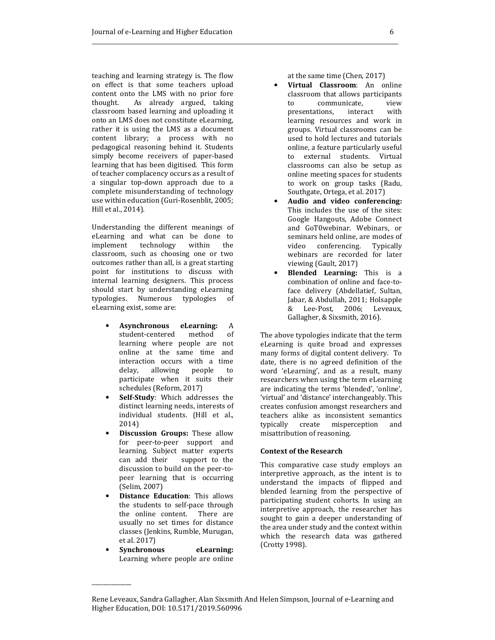teaching and learning strategy is. The flow on effect is that some teachers upload content onto the LMS with no prior fore thought. As already argued, taking classroom based learning and uploading it onto an LMS does not constitute eLearning, rather it is using the LMS as a document content library; a process with no pedagogical reasoning behind it. Students simply become receivers of paper-based learning that has been digitised. This form of teacher complacency occurs as a result of a singular top-down approach due to a complete misunderstanding of technology use within education (Guri-Rosenblit, 2005; Hill et al., 2014).

Understanding the different meanings of eLearning and what can be done to implement technology within the classroom, such as choosing one or two outcomes rather than all, is a great starting point for institutions to discuss with internal learning designers. This process should start by understanding eLearning typologies. Numerous typologies of eLearning exist, some are:

- **Asynchronous eLearning:** A student-centered method of learning where people are not online at the same time and interaction occurs with a time<br>delay, allowing people to delay, allowing people to participate when it suits their schedules (Reform, 2017)
- **Self-Study**: Which addresses the distinct learning needs, interests of individual students. (Hill et al., 2014)
- **Discussion Groups:** These allow for peer-to-peer support and learning. Subject matter experts can add their support to the discussion to build on the peer-topeer learning that is occurring (Selim, 2007)
- **Distance Education**: This allows the students to self-pace through the online content. There are usually no set times for distance classes (Jenkins, Rumble, Murugan, et al. 2017)
- **Synchronous eLearning:** Learning where people are online

\_\_\_\_\_\_\_\_\_\_\_\_\_\_

at the same time (Chen, 2017)

- **Virtual Classroom**: An online classroom that allows participants to communicate, view presentations, interact with learning resources and work in groups. Virtual classrooms can be used to hold lectures and tutorials online, a feature particularly useful to external students. Virtual classrooms can also be setup as online meeting spaces for students to work on group tasks (Radu, Southgate, Ortega, et al. 2017)
- **Audio and video conferencing:** This includes the use of the sites: Google Hangouts, Adobe Connect and GoT0webinar. Webinars, or seminars held online, are modes of video conferencing. Typically webinars are recorded for later viewing (Gault, 2017)
- **Blended Learning:** This is a combination of online and face-toface delivery (Abdellatief, Sultan, Jabar, & Abdullah, 2011; Holsapple & Lee-Post, 2006; Leveaux, Gallagher, & Sixsmith, 2016).

The above typologies indicate that the term eLearning is quite broad and expresses many forms of digital content delivery. To date, there is no agreed definition of the word 'eLearning', and as a result, many researchers when using the term eLearning are indicating the terms 'blended', 'online', 'virtual' and 'distance' interchangeably. This creates confusion amongst researchers and teachers alike as inconsistent semantics typically create misperception and misattribution of reasoning.

## **Context of the Research**

This comparative case study employs an interpretive approach, as the intent is to understand the impacts of flipped and blended learning from the perspective of participating student cohorts. In using an interpretive approach, the researcher has sought to gain a deeper understanding of the area under study and the context within which the research data was gathered (Crotty 1998).

Rene Leveaux, Sandra Gallagher, Alan Sixsmith And Helen Simpson, Journal of e-Learning and Higher Education, DOI: 10.5171/2019.560996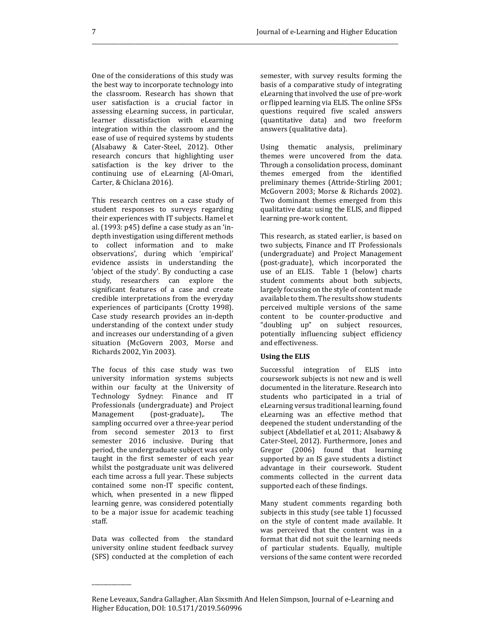One of the considerations of this study was the best way to incorporate technology into the classroom. Research has shown that user satisfaction is a crucial factor in assessing eLearning success, in particular, learner dissatisfaction with eLearning integration within the classroom and the ease of use of required systems by students (Alsabawy & Cater-Steel, 2012). Other research concurs that highlighting user satisfaction is the key driver to the continuing use of eLearning (Al-Omari, Carter, & Chiclana 2016).

This research centres on a case study of student responses to surveys regarding their experiences with IT subjects. Hamel et al. (1993: p45) define a case study as an 'indepth investigation using different methods to collect information and to make observations', during which 'empirical' evidence assists in understanding the 'object of the study'. By conducting a case study, researchers can explore the significant features of a case and create credible interpretations from the everyday experiences of participants (Crotty 1998). Case study research provides an in-depth understanding of the context under study and increases our understanding of a given situation (McGovern 2003, Morse and Richards 2002, Yin 2003).

The focus of this case study was two university information systems subjects within our faculty at the University of Technology Sydney: Finance and IT Professionals (undergraduate) and Project Management (post-graduate), The sampling occurred over a three-year period from second semester 2013 to first semester 2016 inclusive. During that period, the undergraduate subject was only taught in the first semester of each year whilst the postgraduate unit was delivered each time across a full year. These subjects contained some non-IT specific content, which, when presented in a new flipped learning genre, was considered potentially to be a major issue for academic teaching staff.

Data was collected from the standard university online student feedback survey (SFS) conducted at the completion of each

\_\_\_\_\_\_\_\_\_\_\_\_\_\_

semester, with survey results forming the basis of a comparative study of integrating eLearning that involved the use of pre-work or flipped learning via ELIS. The online SFSs questions required five scaled answers (quantitative data) and two freeform answers (qualitative data).

Using thematic analysis, preliminary themes were uncovered from the data. Through a consolidation process, dominant themes emerged from the identified preliminary themes (Attride-Stirling 2001; McGovern 2003; Morse & Richards 2002). Two dominant themes emerged from this qualitative data: using the ELIS, and flipped learning pre-work content.

This research, as stated earlier, is based on two subjects, Finance and IT Professionals (undergraduate) and Project Management (post-graduate), which incorporated the use of an ELIS. Table 1 (below) charts student comments about both subjects, largely focusing on the style of content made available to them. The results show students perceived multiple versions of the same content to be counter-productive and "doubling up" on subject resources, potentially influencing subject efficiency and effectiveness.

#### **Using the ELIS**

Successful integration of ELIS into coursework subjects is not new and is well documented in the literature. Research into students who participated in a trial of eLearning versus traditional learning, found eLearning was an effective method that deepened the student understanding of the subject (Abdellatief et al, 2011; Alsabawy & Cater-Steel, 2012). Furthermore, Jones and Gregor (2006) found that learning supported by an IS gave students a distinct advantage in their coursework. Student comments collected in the current data supported each of these findings.

Many student comments regarding both subjects in this study (see table 1) focussed on the style of content made available. It was perceived that the content was in a format that did not suit the learning needs of particular students. Equally, multiple versions of the same content were recorded

Rene Leveaux, Sandra Gallagher, Alan Sixsmith And Helen Simpson, Journal of e-Learning and Higher Education, DOI: 10.5171/2019.560996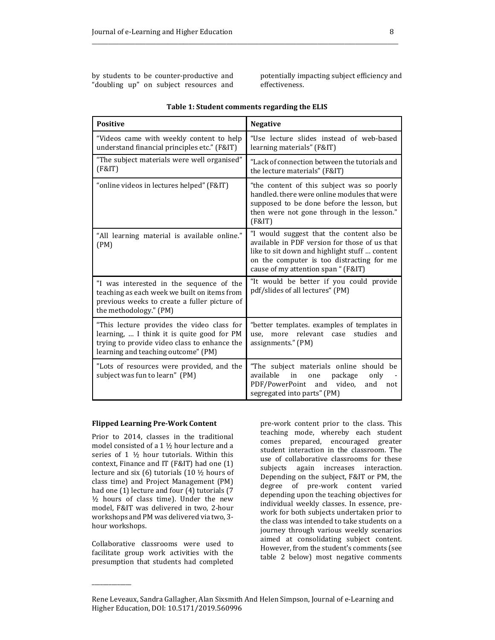by students to be counter-productive and "doubling up" on subject resources and

potentially impacting subject efficiency and effectiveness.

| <b>Positive</b>                                                                                                                                                                 | <b>Negative</b>                                                                                                                                                                                                                 |
|---------------------------------------------------------------------------------------------------------------------------------------------------------------------------------|---------------------------------------------------------------------------------------------------------------------------------------------------------------------------------------------------------------------------------|
| "Videos came with weekly content to help<br>understand financial principles etc." (F&IT)                                                                                        | "Use lecture slides instead of web-based<br>learning materials" (F&IT)                                                                                                                                                          |
| "The subject materials were well organised"<br>(F&IT)                                                                                                                           | "Lack of connection between the tutorials and<br>the lecture materials" (F&IT)                                                                                                                                                  |
| "online videos in lectures helped" (F&IT)                                                                                                                                       | "the content of this subject was so poorly<br>handled, there were online modules that were<br>supposed to be done before the lesson, but<br>then were not gone through in the lesson."<br>(F&IT)                                |
| "All learning material is available online."<br>(PM)                                                                                                                            | "I would suggest that the content also be<br>available in PDF version for those of us that<br>like to sit down and highlight stuff  content<br>on the computer is too distracting for me<br>cause of my attention span " (F&IT) |
| "I was interested in the sequence of the<br>teaching as each week we built on items from<br>previous weeks to create a fuller picture of<br>the methodology." (PM)              | "It would be better if you could provide<br>pdf/slides of all lectures" (PM)                                                                                                                                                    |
| "This lecture provides the video class for<br>learning,  I think it is quite good for PM<br>trying to provide video class to enhance the<br>learning and teaching outcome" (PM) | "better templates. examples of templates in<br>more relevant<br>studies<br>use,<br>case<br>and<br>assignments." (PM)                                                                                                            |
| "Lots of resources were provided, and the<br>subject was fun to learn" (PM)                                                                                                     | "The subject materials online should be<br>available<br>in<br>package<br>one<br>only<br>PDF/PowerPoint<br>video,<br>and<br>and<br>not<br>segregated into parts" (PM)                                                            |

## **Table 1: Student comments regarding the ELIS**

\_\_\_\_\_\_\_\_\_\_\_\_\_\_\_\_\_\_\_\_\_\_\_\_\_\_\_\_\_\_\_\_\_\_\_\_\_\_\_\_\_\_\_\_\_\_\_\_\_\_\_\_\_\_\_\_\_

#### **Flipped Learning Pre-Work Content**

Prior to 2014, classes in the traditional model consisted of a 1 ½ hour lecture and a series of 1 ½ hour tutorials. Within this context, Finance and IT (F&IT) had one (1) lecture and six (6) tutorials (10 ½ hours of class time) and Project Management (PM) had one (1) lecture and four (4) tutorials (7  $\frac{1}{2}$  hours of class time). Under the new model, F&IT was delivered in two, 2-hour workshops and PM was delivered via two, 3 hour workshops.

Collaborative classrooms were used to facilitate group work activities with the presumption that students had completed

\_\_\_\_\_\_\_\_\_\_\_\_\_\_

pre-work content prior to the class. This teaching mode, whereby each student comes prepared, encouraged greater student interaction in the classroom. The use of collaborative classrooms for these subjects again increases interaction. Depending on the subject, F&IT or PM, the degree of pre-work content varied depending upon the teaching objectives for individual weekly classes. In essence, prework for both subjects undertaken prior to the class was intended to take students on a journey through various weekly scenarios aimed at consolidating subject content. However, from the student's comments (see table 2 below) most negative comments

Rene Leveaux, Sandra Gallagher, Alan Sixsmith And Helen Simpson, Journal of e-Learning and Higher Education, DOI: 10.5171/2019.560996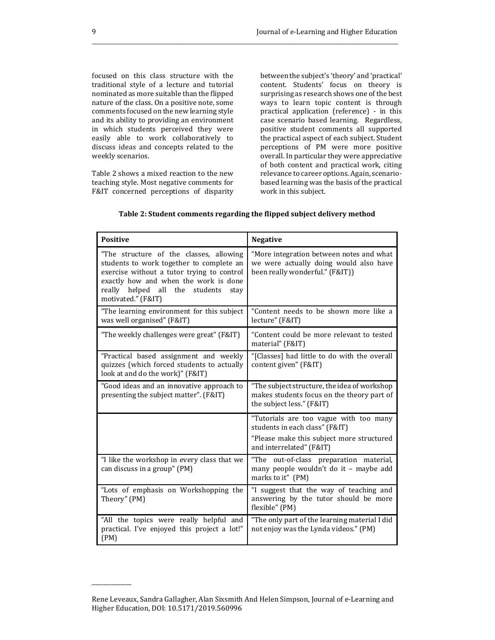focused on this class structure with the traditional style of a lecture and tutorial nominated as more suitable than the flipped nature of the class. On a positive note, some comments focused on the new learning style and its ability to providing an environment in which students perceived they were easily able to work collaboratively to discuss ideas and concepts related to the weekly scenarios.

Table 2 shows a mixed reaction to the new teaching style. Most negative comments for F&IT concerned perceptions of disparity between the subject's 'theory' and 'practical' content. Students' focus on theory is surprising as research shows one of the best ways to learn topic content is through practical application (reference) - in this case scenario based learning. Regardless, positive student comments all supported the practical aspect of each subject. Student perceptions of PM were more positive overall. In particular they were appreciative of both content and practical work, citing relevance to career options. Again, scenariobased learning was the basis of the practical work in this subject.

| <b>Positive</b>                                                                                                                                                                                                                            | <b>Negative</b>                                                                                                                                   |
|--------------------------------------------------------------------------------------------------------------------------------------------------------------------------------------------------------------------------------------------|---------------------------------------------------------------------------------------------------------------------------------------------------|
| "The structure of the classes, allowing<br>students to work together to complete an<br>exercise without a tutor trying to control<br>exactly how and when the work is done<br>really helped all the students<br>stay<br>motivated." (F&IT) | "More integration between notes and what<br>we were actually doing would also have<br>been really wonderful." (F&IT))                             |
| "The learning environment for this subject<br>was well organised" (F&IT)                                                                                                                                                                   | "Content needs to be shown more like a<br>lecture" (F&IT)                                                                                         |
| "The weekly challenges were great" (F&IT)                                                                                                                                                                                                  | "Content could be more relevant to tested<br>material" (F&IT)                                                                                     |
| "Practical based assignment and weekly<br>quizzes (which forced students to actually<br>look at and do the work)" (F&IT)                                                                                                                   | "[Classes] had little to do with the overall<br>content given" (F&IT)                                                                             |
| "Good ideas and an innovative approach to<br>presenting the subject matter". (F&IT)                                                                                                                                                        | "The subject structure, the idea of workshop<br>makes students focus on the theory part of<br>the subject less." (F&IT)                           |
|                                                                                                                                                                                                                                            | "Tutorials are too vague with too many<br>students in each class" (F&IT)<br>"Please make this subject more structured<br>and interrelated" (F&IT) |
| "I like the workshop in every class that we<br>can discuss in a group" (PM)                                                                                                                                                                | "The out-of-class preparation material,<br>many people wouldn't do it - maybe add<br>marks to it" (PM)                                            |
| "Lots of emphasis on Workshopping the<br>Theory" (PM)                                                                                                                                                                                      | "I suggest that the way of teaching and<br>answering by the tutor should be more<br>flexible" (PM)                                                |
| "All the topics were really helpful and<br>practical. I've enjoyed this project a lot!"<br>(PM)                                                                                                                                            | "The only part of the learning material I did<br>not enjoy was the Lynda videos." (PM)                                                            |

## **Table 2: Student comments regarding the flipped subject delivery method**

\_\_\_\_\_\_\_\_\_\_\_\_\_\_\_\_\_\_\_\_\_\_\_\_\_\_\_\_\_\_\_\_\_\_\_\_\_\_\_\_\_\_\_\_\_\_\_\_\_\_\_\_\_\_\_\_\_

Rene Leveaux, Sandra Gallagher, Alan Sixsmith And Helen Simpson, Journal of e-Learning and Higher Education, DOI: 10.5171/2019.560996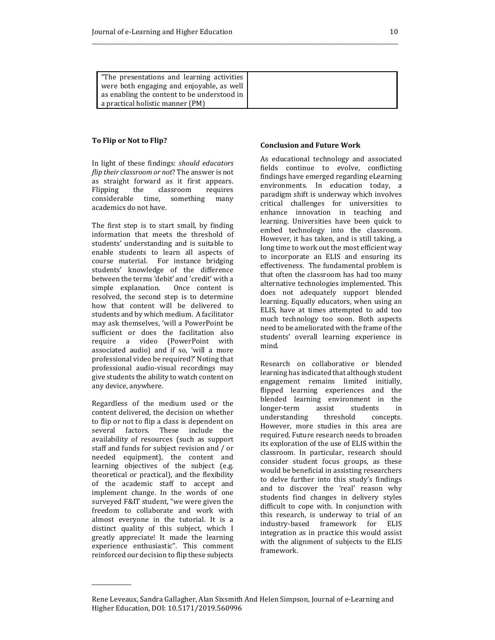| "The presentations and learning activities  |  |
|---------------------------------------------|--|
| were both engaging and enjoyable, as well   |  |
| as enabling the content to be understood in |  |
| a practical holistic manner (PM)            |  |

## **To Flip or Not to Flip?**

In light of these findings: *should educators flip their classroom or not*? The answer is not as straight forward as it first appears. Flipping the classroom requires considerable time, something many academics do not have.

The first step is to start small, by finding information that meets the threshold of students' understanding and is suitable to enable students to learn all aspects of course material. For instance bridging students' knowledge of the difference between the terms 'debit' and 'credit' with a simple explanation. Once content is resolved, the second step is to determine how that content will be delivered to students and by which medium. A facilitator may ask themselves, 'will a PowerPoint be sufficient or does the facilitation also require a video (PowerPoint with associated audio) and if so, 'will a more professional video be required?' Noting that professional audio-visual recordings may give students the ability to watch content on any device, anywhere.

Regardless of the medium used or the content delivered, the decision on whether to flip or not to flip a class is dependent on several factors. These include the availability of resources (such as support staff and funds for subject revision and / or needed equipment), the content and learning objectives of the subject (e.g. theoretical or practical), and the flexibility of the academic staff to accept and implement change. In the words of one surveyed F&IT student, "we were given the freedom to collaborate and work with almost everyone in the tutorial. It is a distinct quality of this subject, which I greatly appreciate! It made the learning experience enthusiastic". This comment reinforced our decision to flip these subjects

\_\_\_\_\_\_\_\_\_\_\_\_\_\_

## **Conclusion and Future Work**

As educational technology and associated fields continue to evolve, conflicting findings have emerged regarding eLearning environments. In education today, a paradigm shift is underway which involves critical challenges for universities to enhance innovation in teaching and learning. Universities have been quick to embed technology into the classroom. However, it has taken, and is still taking, a long time to work out the most efficient way to incorporate an ELIS and ensuring its effectiveness. The fundamental problem is that often the classroom has had too many alternative technologies implemented. This does not adequately support blended learning. Equally educators, when using an ELIS, have at times attempted to add too much technology too soon. Both aspects need to be ameliorated with the frame of the students' overall learning experience in mind.

Research on collaborative or blended learning has indicated that although student engagement remains limited initially, flipped learning experiences and the blended learning environment in the longer-term assist students in understanding threshold concepts. However, more studies in this area are required. Future research needs to broaden its exploration of the use of ELIS within the classroom. In particular, research should consider student focus groups, as these would be beneficial in assisting researchers to delve further into this study's findings and to discover the 'real' reason why students find changes in delivery styles difficult to cope with. In conjunction with this research, is underway to trial of an industry-based framework for ELIS integration as in practice this would assist with the alignment of subjects to the ELIS framework.

Rene Leveaux, Sandra Gallagher, Alan Sixsmith And Helen Simpson, Journal of e-Learning and Higher Education, DOI: 10.5171/2019.560996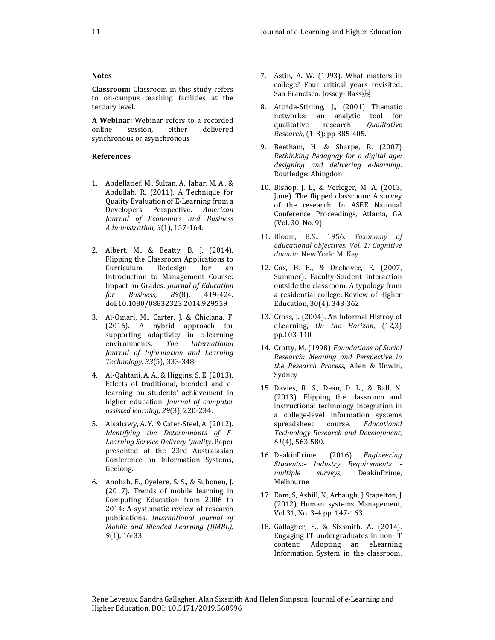## **Notes**

**Classroom:** Classroom in this study refers to on-campus teaching facilities at the tertiary level.

**A Webinar:** Webinar refers to a recorded online session, either delivered synchronous or asynchronous

#### **References**

- 1. Abdellatief, M., Sultan, A., Jabar, M. A., & Abdullah, R. (2011). A Technique for Quality Evaluation of E-Learning from a Developers Perspective. *American Journal of Economics and Business Administration, 3*(1), 157-164.
- 2. Albert, M., & Beatty, B. J. (2014). Flipping the Classroom Applications to Curriculum Redesign for an Introduction to Management Course: Impact on Grades. *Journal of Education for Business, 89*(8), 419-424. doi:10.1080/08832323.2014.929559
- 3. Al-Omari, M., Carter, J. & Chiclana, F. (2016). A hybrid approach for supporting adaptivity in e-learning environments. *The International Journal of Information and Learning Technology, 33*(5), 333-348.
- 4. Al-Qahtani, A. A., & Higgins, S. E. (2013). Effects of traditional, blended and elearning on students' achievement in higher education. *Journal of computer assisted learning, 29*(3), 220-234.
- 5. Alsabawy, A. Y., & Cater-Steel, A. (2012). *Identifying the Determinants of E-Learning Service Delivery Quality*. Paper presented at the 23rd Australasian Conference on Information Systems, Geelong.
- 6. Anohah, E., Oyelere, S. S., & Suhonen, J. (2017). Trends of mobile learning in Computing Education from 2006 to 2014: A systematic review of research publications. *International Journal of Mobile and Blended Learning (IJMBL), 9*(1), 16-33.

- 7. Astin, A. W. (1993). What matters in college? Four critical years revisited. San Francisco: Jossey- Bass
- 8. Attride-Stirling, J., (2001) Thematic networks: an analytic tool for qualitative research, *Qualitative Research*, (1, 3): pp 385-405.
- 9. Beetham, H. & Sharpe, R. (2007) *Rethinking Pedagogy for a digital age: designing and delivering e-learning*. Routledge: Abingdon
- 10. Bishop, J. L., & Verleger, M. A. (2013, June). The flipped classroom: A survey of the research. In ASEE National Conference Proceedings, Atlanta, GA (Vol. 30, No. 9).
- 11. Bloom, B.S., 1956. *Taxonomy of educational objectives. Vol. 1: Cognitive domain.* New York: McKay
- 12. Cox, B. E., & Orehovec, E. (2007, Summer). Faculty-Student interaction outside the classroom: A typology from a residential college. Review of Higher Education, 30(4), 343-362
- 13. Cross, J. (2004). An Informal Histroy of eLearning, *On the Horizon*, (12,3) pp.103-110
- 14. Crotty, M. (1998) *Foundations of Social Research: Meaning and Perspective in the Research Process*, Allen & Unwin, Sydney
- 15. Davies, R. S., Dean, D. L., & Ball, N. (2013). Flipping the classroom and instructional technology integration in a college-level information systems spreadsheet course. *Educational Technology Research and Development, 61*(4), 563-580.
- 16. DeakinPrime. (2016) *Engineering Students:- Industry Requirements multiple surveys,* DeakinPrime, Melbourne
- 17. Eom, S, Ashill, N, Arbaugh, J Stapelton, J (2012) Human systems Management, Vol 31, No. 3-4 pp. 147-163
- 18. Gallagher, S., & Sixsmith, A. (2014). Engaging IT undergraduates in non-IT content: Adopting an eLearning Information System in the classroom.

Rene Leveaux, Sandra Gallagher, Alan Sixsmith And Helen Simpson, Journal of e-Learning and Higher Education, DOI: 10.5171/2019.560996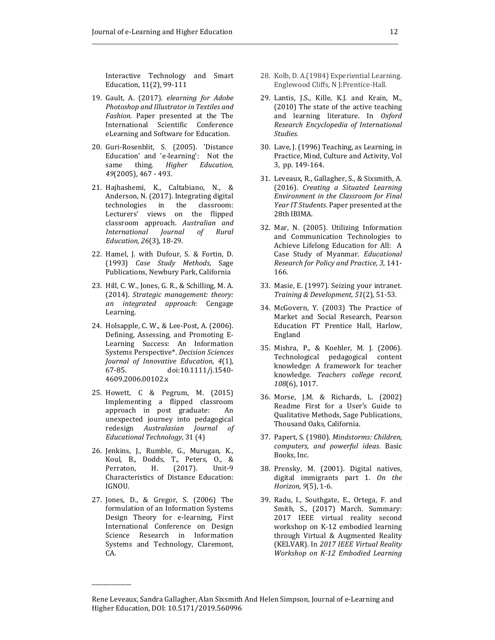Interactive Technology and Smart Education, 11(2), 99-111

\_\_\_\_\_\_\_\_\_\_\_\_\_\_\_\_\_\_\_\_\_\_\_\_\_\_\_\_\_\_\_\_\_\_\_\_\_\_\_\_\_\_\_\_\_\_\_\_\_\_\_\_\_\_\_\_\_

- 19. Gault, A. (2017). *elearning for Adobe Photoshop and Illustrator in Textiles and Fashion.* Paper presented at the The International Scientific Conference eLearning and Software for Education.
- 20. Guri-Rosenblit, S. (2005). 'Distance Education' and 'e-learning': Not the same thing. *Higher Education, 49*(2005), 467 - 493.
- 21. Hajhashemi, K., Caltabiano, N., & Anderson, N. (2017). Integrating digital technologies in the classroom: Lecturers' views on the flipped classroom approach. *Australian and International Journal of Rural Education, 26*(3), 18-29.
- 22. Hamel, J. with Dufour, S. & Fortin, D. (1993) *Case Study Methods*, Sage Publications, Newbury Park, California
- 23. Hill, C. W., Jones, G. R., & Schilling, M. A. (2014). *Strategic management: theory: an integrated approach*: Cengage Learning.
- 24. Holsapple, C. W., & Lee-Post, A. (2006). Defining, Assessing, and Promoting E-Learning Success: An Information Systems Perspective\*. *Decision Sciences Journal of Innovative Education, 4*(1), 67-85. doi:10.1111/j.1540- 4609.2006.00102.x
- 25. Howett, C & Pegrum, M. (2015) Implementing a flipped classroom approach in post graduate: An unexpected journey into pedagogical redesign *Australasian Journal of Educational Technology*, 31 (4)
- 26. Jenkins, J., Rumble, G., Murugan, K., Koul, B., Dodds, T., Peters, O., & Perraton, H. (2017). Unit-9 Characteristics of Distance Education: IGNOU.
- 27. Jones, D., & Gregor, S. (2006) The formulation of an Information Systems Design Theory for e-learning, First International Conference on Design Science Research in Information Systems and Technology, Claremont, CA.

- 28. Kolb, D. A.(1984) Experiential Learning. Englewood Cliffs, N J:Prentice-Hall.
- 29. Lantis, J.S., Kille, K.J. and Krain, M., (2010) The state of the active teaching and learning literature. In *Oxford Research Encyclopedia of International Studies*.
- 30. Lave, J. (1996) Teaching, as Learning, in Practice, Mind, Culture and Activity, Vol 3, pp. 149-164.
- 31. Leveaux, R., Gallagher, S., & Sixsmith, A. (2016). *Creating a Situated Learning Environment in the Classroom for Final Year IT Students*. Paper presented at the 28th IBIMA.
- 32. Mar, N. (2005). Utilizing Information and Communication Technologies to Achieve Lifelong Education for All: A Case Study of Myanmar. *Educational Research for Policy and Practice, 3*, 141- 166.
- 33. Masie, E. (1997). Seizing your intranet. *Training & Development, 51*(2), 51-53.
- 34. McGovern, Y. (2003) The Practice of Market and Social Research, Pearson Education FT Prentice Hall, Harlow, England
- 35. Mishra, P., & Koehler, M. J. (2006). Technological pedagogical content knowledge: A framework for teacher knowledge. *Teachers college record, 108*(6), 1017.
- 36. Morse, J.M. & Richards, L. (2002) Readme First for a User's Guide to Qualitative Methods, Sage Publications, Thousand Oaks, California.
- 37. Papert, S. (1980). *Mindstorms: Children, computers, and powerful ideas*. Basic Books, Inc.
- 38. Prensky, M. (2001). Digital natives, digital immigrants part 1. *On the Horizon, 9*(5), 1-6.
- 39. Radu, I., Southgate, E., Ortega, F. and Smith, S., (2017) March. Summary: 2017 IEEE virtual reality second workshop on K-12 embodied learning through Virtual & Augmented Reality (KELVAR). In *2017 IEEE Virtual Reality Workshop on K-12 Embodied Learning*

Rene Leveaux, Sandra Gallagher, Alan Sixsmith And Helen Simpson, Journal of e-Learning and Higher Education, DOI: 10.5171/2019.560996